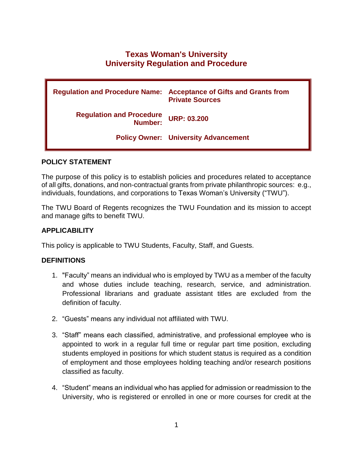# **Texas Woman's University University Regulation and Procedure**

| <b>Regulation and Procedure Name:</b>      | <b>Acceptance of Gifts and Grants from</b><br><b>Private Sources</b> |
|--------------------------------------------|----------------------------------------------------------------------|
| <b>Regulation and Procedure</b><br>Number: | <b>URP: 03.200</b>                                                   |
|                                            | <b>Policy Owner: University Advancement</b>                          |

## **POLICY STATEMENT**

The purpose of this policy is to establish policies and procedures related to acceptance of all gifts, donations, and non-contractual grants from private philanthropic sources: e.g., individuals, foundations, and corporations to Texas Woman's University ("TWU").

The TWU Board of Regents recognizes the TWU Foundation and its mission to accept and manage gifts to benefit TWU.

# **APPLICABILITY**

This policy is applicable to TWU Students, Faculty, Staff, and Guests.

### **DEFINITIONS**

- 1. "Faculty" means an individual who is employed by TWU as a member of the faculty and whose duties include teaching, research, service, and administration. Professional librarians and graduate assistant titles are excluded from the definition of faculty.
- 2. "Guests" means any individual not affiliated with TWU.
- 3. "Staff" means each classified, administrative, and professional employee who is appointed to work in a regular full time or regular part time position, excluding students employed in positions for which student status is required as a condition of employment and those employees holding teaching and/or research positions classified as faculty.
- 4. "Student" means an individual who has applied for admission or readmission to the University, who is registered or enrolled in one or more courses for credit at the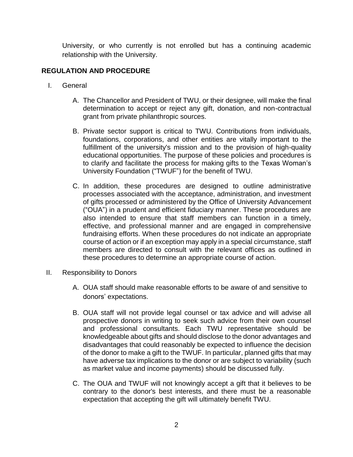University, or who currently is not enrolled but has a continuing academic relationship with the University.

# **REGULATION AND PROCEDURE**

- I. General
	- A. The Chancellor and President of TWU, or their designee, will make the final determination to accept or reject any gift, donation, and non-contractual grant from private philanthropic sources.
	- B. Private sector support is critical to TWU. Contributions from individuals, foundations, corporations, and other entities are vitally important to the fulfillment of the university's mission and to the provision of high-quality educational opportunities. The purpose of these policies and procedures is to clarify and facilitate the process for making gifts to the Texas Woman's University Foundation ("TWUF") for the benefit of TWU.
	- C. In addition, these procedures are designed to outline administrative processes associated with the acceptance, administration, and investment of gifts processed or administered by the Office of University Advancement ("OUA") in a prudent and efficient fiduciary manner. These procedures are also intended to ensure that staff members can function in a timely, effective, and professional manner and are engaged in comprehensive fundraising efforts. When these procedures do not indicate an appropriate course of action or if an exception may apply in a special circumstance, staff members are directed to consult with the relevant offices as outlined in these procedures to determine an appropriate course of action.
- II. Responsibility to Donors
	- A. OUA staff should make reasonable efforts to be aware of and sensitive to donors' expectations.
	- B. OUA staff will not provide legal counsel or tax advice and will advise all prospective donors in writing to seek such advice from their own counsel and professional consultants. Each TWU representative should be knowledgeable about gifts and should disclose to the donor advantages and disadvantages that could reasonably be expected to influence the decision of the donor to make a gift to the TWUF. In particular, planned gifts that may have adverse tax implications to the donor or are subject to variability (such as market value and income payments) should be discussed fully.
	- C. The OUA and TWUF will not knowingly accept a gift that it believes to be contrary to the donor's best interests, and there must be a reasonable expectation that accepting the gift will ultimately benefit TWU.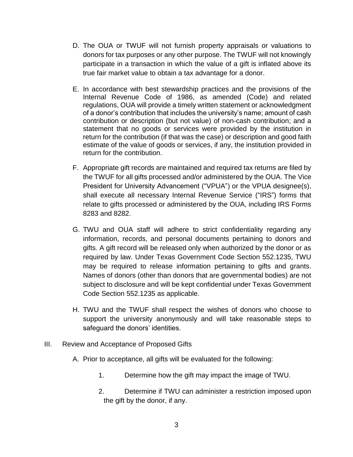- D. The OUA or TWUF will not furnish property appraisals or valuations to donors for tax purposes or any other purpose. The TWUF will not knowingly participate in a transaction in which the value of a gift is inflated above its true fair market value to obtain a tax advantage for a donor.
- E. In accordance with best stewardship practices and the provisions of the Internal Revenue Code of 1986, as amended (Code) and related regulations, OUA will provide a timely written statement or acknowledgment of a donor's contribution that includes the university's name; amount of cash contribution or description (but not value) of non-cash contribution; and a statement that no goods or services were provided by the institution in return for the contribution (if that was the case) or description and good faith estimate of the value of goods or services, if any, the institution provided in return for the contribution.
- F. Appropriate gift records are maintained and required tax returns are filed by the TWUF for all gifts processed and/or administered by the OUA. The Vice President for University Advancement ("VPUA") or the VPUA designee(s), shall execute all necessary Internal Revenue Service ("IRS") forms that relate to gifts processed or administered by the OUA, including IRS Forms 8283 and 8282.
- G. TWU and OUA staff will adhere to strict confidentiality regarding any information, records, and personal documents pertaining to donors and gifts. A gift record will be released only when authorized by the donor or as required by law. Under Texas Government Code Section 552.1235, TWU may be required to release information pertaining to gifts and grants. Names of donors (other than donors that are governmental bodies) are not subject to disclosure and will be kept confidential under Texas Government Code Section 552.1235 as applicable.
- H. TWU and the TWUF shall respect the wishes of donors who choose to support the university anonymously and will take reasonable steps to safeguard the donors' identities.
- III. Review and Acceptance of Proposed Gifts
	- A. Prior to acceptance, all gifts will be evaluated for the following:
		- 1. Determine how the gift may impact the image of TWU.
		- 2. Determine if TWU can administer a restriction imposed upon the gift by the donor, if any.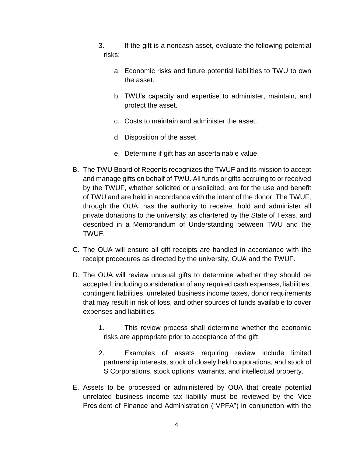- 3. If the gift is a noncash asset, evaluate the following potential risks:
	- a. Economic risks and future potential liabilities to TWU to own the asset.
	- b. TWU's capacity and expertise to administer, maintain, and protect the asset.
	- c. Costs to maintain and administer the asset.
	- d. Disposition of the asset.
	- e. Determine if gift has an ascertainable value.
- B. The TWU Board of Regents recognizes the TWUF and its mission to accept and manage gifts on behalf of TWU. All funds or gifts accruing to or received by the TWUF, whether solicited or unsolicited, are for the use and benefit of TWU and are held in accordance with the intent of the donor. The TWUF, through the OUA, has the authority to receive, hold and administer all private donations to the university, as chartered by the State of Texas, and described in a Memorandum of Understanding between TWU and the TWUF.
- C. The OUA will ensure all gift receipts are handled in accordance with the receipt procedures as directed by the university, OUA and the TWUF.
- D. The OUA will review unusual gifts to determine whether they should be accepted, including consideration of any required cash expenses, liabilities, contingent liabilities, unrelated business income taxes, donor requirements that may result in risk of loss, and other sources of funds available to cover expenses and liabilities.
	- 1. This review process shall determine whether the economic risks are appropriate prior to acceptance of the gift.
	- 2. Examples of assets requiring review include limited partnership interests, stock of closely held corporations, and stock of S Corporations, stock options, warrants, and intellectual property.
- E. Assets to be processed or administered by OUA that create potential unrelated business income tax liability must be reviewed by the Vice President of Finance and Administration ("VPFA") in conjunction with the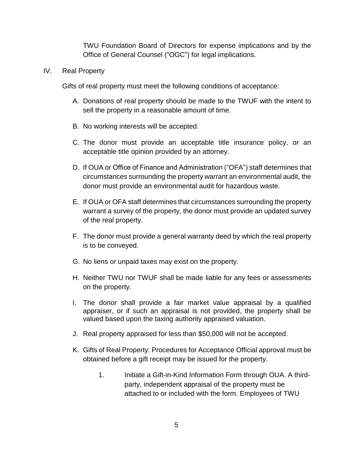TWU Foundation Board of Directors for expense implications and by the Office of General Counsel ("OGC") for legal implications.

### IV. Real Property

Gifts of real property must meet the following conditions of acceptance:

- A. Donations of real property should be made to the TWUF with the intent to sell the property in a reasonable amount of time.
- B. No working interests will be accepted.
- C. The donor must provide an acceptable title insurance policy, or an acceptable title opinion provided by an attorney.
- D. If OUA or Office of Finance and Administration ("OFA") staff determines that circumstances surrounding the property warrant an environmental audit, the donor must provide an environmental audit for hazardous waste.
- E. If OUA or OFA staff determines that circumstances surrounding the property warrant a survey of the property, the donor must provide an updated survey of the real property.
- F. The donor must provide a general warranty deed by which the real property is to be conveyed.
- G. No liens or unpaid taxes may exist on the property.
- H. Neither TWU nor TWUF shall be made liable for any fees or assessments on the property.
- I. The donor shall provide a fair market value appraisal by a qualified appraiser, or if such an appraisal is not provided, the property shall be valued based upon the taxing authority appraised valuation.
- J. Real property appraised for less than \$50,000 will not be accepted.
- K. Gifts of Real Property: Procedures for Acceptance Official approval must be obtained before a gift receipt may be issued for the property.
	- 1. Initiate a Gift-in-Kind Information Form through OUA. A thirdparty, independent appraisal of the property must be attached to or included with the form. Employees of TWU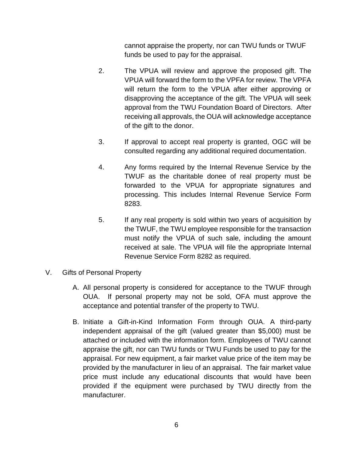cannot appraise the property, nor can TWU funds or TWUF funds be used to pay for the appraisal.

- 2. The VPUA will review and approve the proposed gift. The VPUA will forward the form to the VPFA for review. The VPFA will return the form to the VPUA after either approving or disapproving the acceptance of the gift. The VPUA will seek approval from the TWU Foundation Board of Directors. After receiving all approvals, the OUA will acknowledge acceptance of the gift to the donor.
- 3. If approval to accept real property is granted, OGC will be consulted regarding any additional required documentation.
- 4. Any forms required by the Internal Revenue Service by the TWUF as the charitable donee of real property must be forwarded to the VPUA for appropriate signatures and processing. This includes Internal Revenue Service Form 8283.
- 5. If any real property is sold within two years of acquisition by the TWUF, the TWU employee responsible for the transaction must notify the VPUA of such sale, including the amount received at sale. The VPUA will file the appropriate Internal Revenue Service Form 8282 as required.
- V. Gifts of Personal Property
	- A. All personal property is considered for acceptance to the TWUF through OUA. If personal property may not be sold, OFA must approve the acceptance and potential transfer of the property to TWU.
	- B. Initiate a Gift-in-Kind Information Form through OUA. A third-party independent appraisal of the gift (valued greater than \$5,000) must be attached or included with the information form. Employees of TWU cannot appraise the gift, nor can TWU funds or TWU Funds be used to pay for the appraisal. For new equipment, a fair market value price of the item may be provided by the manufacturer in lieu of an appraisal. The fair market value price must include any educational discounts that would have been provided if the equipment were purchased by TWU directly from the manufacturer.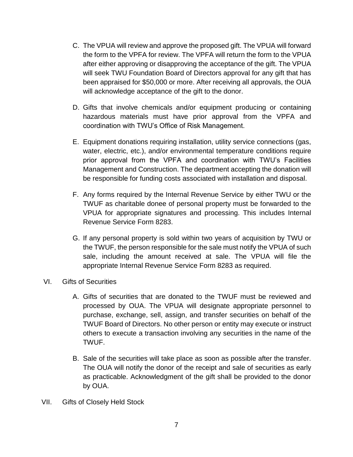- C. The VPUA will review and approve the proposed gift. The VPUA will forward the form to the VPFA for review. The VPFA will return the form to the VPUA after either approving or disapproving the acceptance of the gift. The VPUA will seek TWU Foundation Board of Directors approval for any gift that has been appraised for \$50,000 or more. After receiving all approvals, the OUA will acknowledge acceptance of the gift to the donor.
- D. Gifts that involve chemicals and/or equipment producing or containing hazardous materials must have prior approval from the VPFA and coordination with TWU's Office of Risk Management.
- E. Equipment donations requiring installation, utility service connections (gas, water, electric, etc.), and/or environmental temperature conditions require prior approval from the VPFA and coordination with TWU's Facilities Management and Construction. The department accepting the donation will be responsible for funding costs associated with installation and disposal.
- F. Any forms required by the Internal Revenue Service by either TWU or the TWUF as charitable donee of personal property must be forwarded to the VPUA for appropriate signatures and processing. This includes Internal Revenue Service Form 8283.
- G. If any personal property is sold within two years of acquisition by TWU or the TWUF, the person responsible for the sale must notify the VPUA of such sale, including the amount received at sale. The VPUA will file the appropriate Internal Revenue Service Form 8283 as required.
- VI. Gifts of Securities
	- A. Gifts of securities that are donated to the TWUF must be reviewed and processed by OUA. The VPUA will designate appropriate personnel to purchase, exchange, sell, assign, and transfer securities on behalf of the TWUF Board of Directors. No other person or entity may execute or instruct others to execute a transaction involving any securities in the name of the TWUF.
	- B. Sale of the securities will take place as soon as possible after the transfer. The OUA will notify the donor of the receipt and sale of securities as early as practicable. Acknowledgment of the gift shall be provided to the donor by OUA.
- VII. Gifts of Closely Held Stock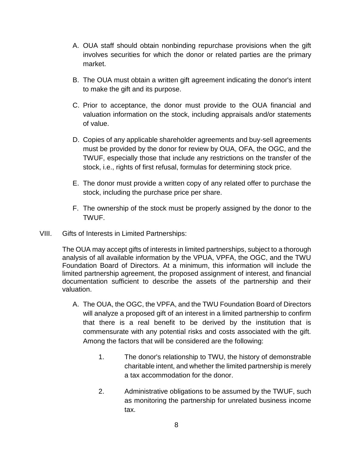- A. OUA staff should obtain nonbinding repurchase provisions when the gift involves securities for which the donor or related parties are the primary market.
- B. The OUA must obtain a written gift agreement indicating the donor's intent to make the gift and its purpose.
- C. Prior to acceptance, the donor must provide to the OUA financial and valuation information on the stock, including appraisals and/or statements of value.
- D. Copies of any applicable shareholder agreements and buy-sell agreements must be provided by the donor for review by OUA, OFA, the OGC, and the TWUF, especially those that include any restrictions on the transfer of the stock, i.e., rights of first refusal, formulas for determining stock price.
- E. The donor must provide a written copy of any related offer to purchase the stock, including the purchase price per share.
- F. The ownership of the stock must be properly assigned by the donor to the TWUF.
- VIII. Gifts of Interests in Limited Partnerships:

The OUA may accept gifts of interests in limited partnerships, subject to a thorough analysis of all available information by the VPUA, VPFA, the OGC, and the TWU Foundation Board of Directors. At a minimum, this information will include the limited partnership agreement, the proposed assignment of interest, and financial documentation sufficient to describe the assets of the partnership and their valuation.

- A. The OUA, the OGC, the VPFA, and the TWU Foundation Board of Directors will analyze a proposed gift of an interest in a limited partnership to confirm that there is a real benefit to be derived by the institution that is commensurate with any potential risks and costs associated with the gift. Among the factors that will be considered are the following:
	- 1. The donor's relationship to TWU, the history of demonstrable charitable intent, and whether the limited partnership is merely a tax accommodation for the donor.
	- 2. Administrative obligations to be assumed by the TWUF, such as monitoring the partnership for unrelated business income tax.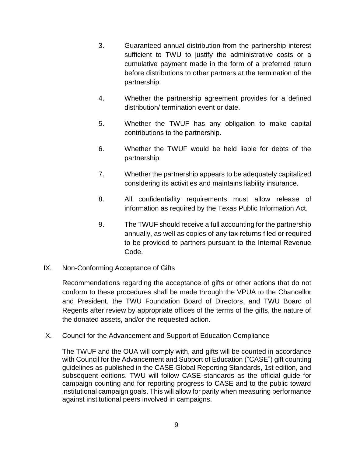- 3. Guaranteed annual distribution from the partnership interest sufficient to TWU to justify the administrative costs or a cumulative payment made in the form of a preferred return before distributions to other partners at the termination of the partnership.
- 4. Whether the partnership agreement provides for a defined distribution/ termination event or date.
- 5. Whether the TWUF has any obligation to make capital contributions to the partnership.
- 6. Whether the TWUF would be held liable for debts of the partnership.
- 7. Whether the partnership appears to be adequately capitalized considering its activities and maintains liability insurance.
- 8. All confidentiality requirements must allow release of information as required by the Texas Public Information Act.
- 9. The TWUF should receive a full accounting for the partnership annually, as well as copies of any tax returns filed or required to be provided to partners pursuant to the Internal Revenue Code.
- IX. Non-Conforming Acceptance of Gifts

Recommendations regarding the acceptance of gifts or other actions that do not conform to these procedures shall be made through the VPUA to the Chancellor and President, the TWU Foundation Board of Directors, and TWU Board of Regents after review by appropriate offices of the terms of the gifts, the nature of the donated assets, and/or the requested action.

X. Council for the Advancement and Support of Education Compliance

The TWUF and the OUA will comply with, and gifts will be counted in accordance with Council for the Advancement and Support of Education ("CASE") gift counting guidelines as published in the CASE Global Reporting Standards, 1st edition, and subsequent editions. TWU will follow CASE standards as the official guide for campaign counting and for reporting progress to CASE and to the public toward institutional campaign goals. This will allow for parity when measuring performance against institutional peers involved in campaigns.